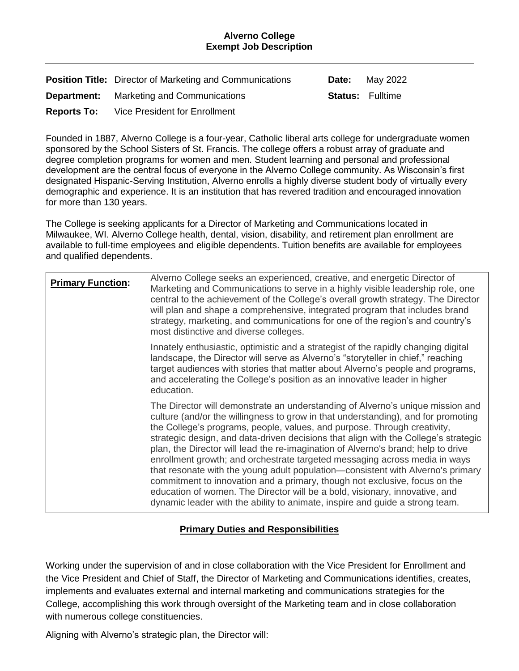#### **Alverno College Exempt Job Description**

|               | <b>Position Title:</b> Director of Marketing and Communications | <b>Date:</b> May 2022   |
|---------------|-----------------------------------------------------------------|-------------------------|
|               | <b>Department:</b> Marketing and Communications                 | <b>Status:</b> Fulltime |
| $\sim$ $\sim$ | $\cdots$ $\sim$ $\cdots$                                        |                         |

**Reports To:** Vice President for Enrollment

Founded in 1887, Alverno College is a four-year, Catholic liberal arts college for undergraduate women sponsored by the School Sisters of St. Francis. The college offers a robust array of graduate and degree completion programs for women and men. Student learning and personal and professional development are the central focus of everyone in the Alverno College community. As Wisconsin's first designated Hispanic-Serving Institution, Alverno enrolls a highly diverse student body of virtually every demographic and experience. It is an institution that has revered tradition and encouraged innovation for more than 130 years.

The College is seeking applicants for a Director of Marketing and Communications located in Milwaukee, WI. Alverno College health, dental, vision, disability, and retirement plan enrollment are available to full-time employees and eligible dependents. Tuition benefits are available for employees and qualified dependents.

| <b>Primary Function:</b> | Alverno College seeks an experienced, creative, and energetic Director of<br>Marketing and Communications to serve in a highly visible leadership role, one<br>central to the achievement of the College's overall growth strategy. The Director<br>will plan and shape a comprehensive, integrated program that includes brand<br>strategy, marketing, and communications for one of the region's and country's<br>most distinctive and diverse colleges.                                                                                                                                                                                                                                                                                                                                                                                |
|--------------------------|-------------------------------------------------------------------------------------------------------------------------------------------------------------------------------------------------------------------------------------------------------------------------------------------------------------------------------------------------------------------------------------------------------------------------------------------------------------------------------------------------------------------------------------------------------------------------------------------------------------------------------------------------------------------------------------------------------------------------------------------------------------------------------------------------------------------------------------------|
|                          | Innately enthusiastic, optimistic and a strategist of the rapidly changing digital<br>landscape, the Director will serve as Alverno's "storyteller in chief," reaching<br>target audiences with stories that matter about Alverno's people and programs,<br>and accelerating the College's position as an innovative leader in higher<br>education.                                                                                                                                                                                                                                                                                                                                                                                                                                                                                       |
|                          | The Director will demonstrate an understanding of Alverno's unique mission and<br>culture (and/or the willingness to grow in that understanding), and for promoting<br>the College's programs, people, values, and purpose. Through creativity,<br>strategic design, and data-driven decisions that align with the College's strategic<br>plan, the Director will lead the re-imagination of Alverno's brand; help to drive<br>enrollment growth; and orchestrate targeted messaging across media in ways<br>that resonate with the young adult population—consistent with Alverno's primary<br>commitment to innovation and a primary, though not exclusive, focus on the<br>education of women. The Director will be a bold, visionary, innovative, and<br>dynamic leader with the ability to animate, inspire and guide a strong team. |

# **Primary Duties and Responsibilities**

Working under the supervision of and in close collaboration with the Vice President for Enrollment and the Vice President and Chief of Staff, the Director of Marketing and Communications identifies, creates, implements and evaluates external and internal marketing and communications strategies for the College, accomplishing this work through oversight of the Marketing team and in close collaboration with numerous college constituencies.

Aligning with Alverno's strategic plan, the Director will: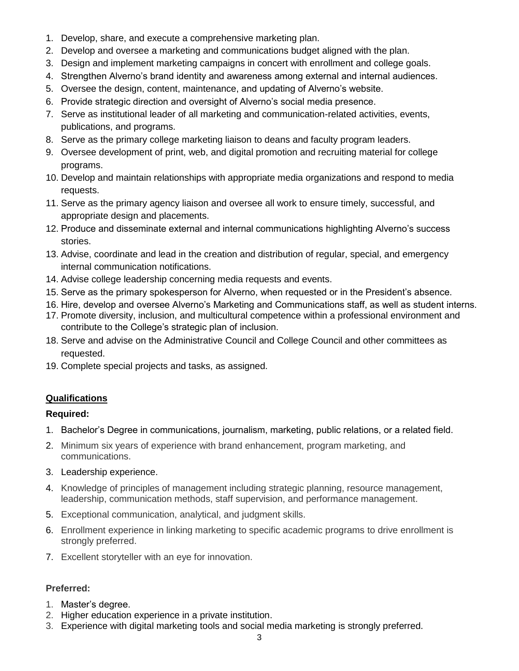- 1. Develop, share, and execute a comprehensive marketing plan.
- 2. Develop and oversee a marketing and communications budget aligned with the plan.
- 3. Design and implement marketing campaigns in concert with enrollment and college goals.
- 4. Strengthen Alverno's brand identity and awareness among external and internal audiences.
- 5. Oversee the design, content, maintenance, and updating of Alverno's website.
- 6. Provide strategic direction and oversight of Alverno's social media presence.
- 7. Serve as institutional leader of all marketing and communication-related activities, events, publications, and programs.
- 8. Serve as the primary college marketing liaison to deans and faculty program leaders.
- 9. Oversee development of print, web, and digital promotion and recruiting material for college programs.
- 10. Develop and maintain relationships with appropriate media organizations and respond to media requests.
- 11. Serve as the primary agency liaison and oversee all work to ensure timely, successful, and appropriate design and placements.
- 12. Produce and disseminate external and internal communications highlighting Alverno's success stories.
- 13. Advise, coordinate and lead in the creation and distribution of regular, special, and emergency internal communication notifications.
- 14. Advise college leadership concerning media requests and events.
- 15. Serve as the primary spokesperson for Alverno, when requested or in the President's absence.
- 16. Hire, develop and oversee Alverno's Marketing and Communications staff, as well as student interns.
- 17. Promote diversity, inclusion, and multicultural competence within a professional environment and contribute to the College's strategic plan of inclusion.
- 18. Serve and advise on the Administrative Council and College Council and other committees as requested.
- 19. Complete special projects and tasks, as assigned.

## **Qualifications**

## **Required:**

- 1. Bachelor's Degree in communications, journalism, marketing, public relations, or a related field.
- 2. Minimum six years of experience with brand enhancement, program marketing, and communications.
- 3. Leadership experience.
- 4. Knowledge of principles of management including strategic planning, resource management, leadership, communication methods, staff supervision, and performance management.
- 5. Exceptional communication, analytical, and judgment skills.
- 6. Enrollment experience in linking marketing to specific academic programs to drive enrollment is strongly preferred.
- 7. Excellent storyteller with an eye for innovation.

## **Preferred:**

- 1. Master's degree.
- 2. Higher education experience in a private institution.
- 3. Experience with digital marketing tools and social media marketing is strongly preferred.